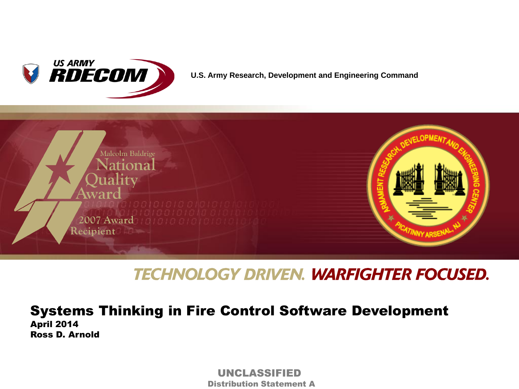

**U.S. Army Research, Development and Engineering Command**



## **TECHNOLOGY DRIVEN. WARFIGHTER FOCUSED.**

Systems Thinking in Fire Control Software Development April 2014

Ross D. Arnold

 UNCLASSIFIED Distribution Statement A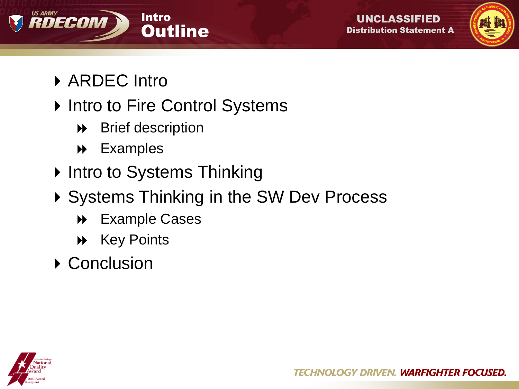





- ▶ ARDEC Intro
- ▶ Intro to Fire Control Systems
	- Brief description
	- Examples
- ▶ Intro to Systems Thinking
- ▶ Systems Thinking in the SW Dev Process
	- Example Cases
	- **A** Key Points
- ▶ Conclusion

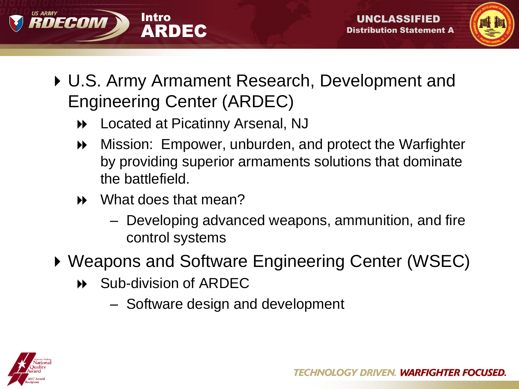



- U.S. Army Armament Research, Development and Engineering Center (ARDEC)
	- Located at Picatinny Arsenal, NJ
	- Mission: Empower, unburden, and protect the Warfighter by providing superior armaments solutions that dominate the battlefield.
	- What does that mean?
		- Developing advanced weapons, ammunition, and fire control systems
- ▶ Weapons and Software Engineering Center (WSEC)
	- Sub-division of ARDEC
		- Software design and development

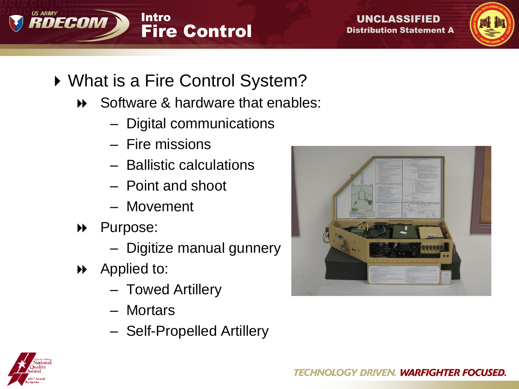





- ▶ What is a Fire Control System?
	- **→** Software & hardware that enables:
		- Digital communications
		- Fire missions
		- Ballistic calculations
		- Point and shoot
		- Movement
	- Purpose:
		- Digitize manual gunnery
	- Applied to:
		- Towed Artillery
		- Mortars
		- Self-Propelled Artillery



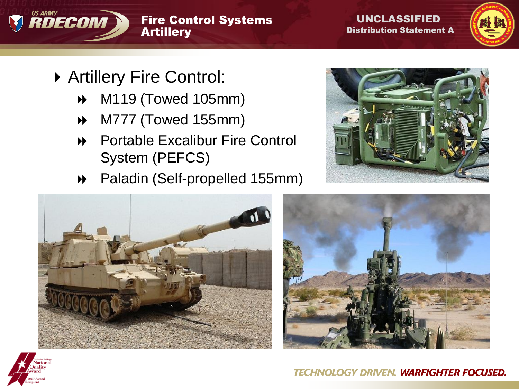

#### Fire Control Systems **Artillery**

 UNCLASSIFIED Distribution Statement A



- Artillery Fire Control:
	- M119 (Towed 105mm)
	- M777 (Towed 155mm)
	- **EXCALLERGIBULE FRAGGER** Portable Excalibur Fire Control System (PEFCS)
	- Paladin (Self-propelled 155mm)







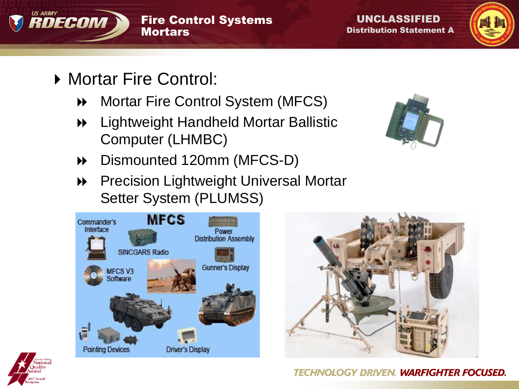



- ▶ Mortar Fire Control:
	- **M** Mortar Fire Control System (MFCS)
	- Lightweight Handheld Mortar Ballistic Computer (LHMBC)
	- Dismounted 120mm (MFCS-D)
	- **PRECISTION Lightweight Universal Mortar** Setter System (PLUMSS)







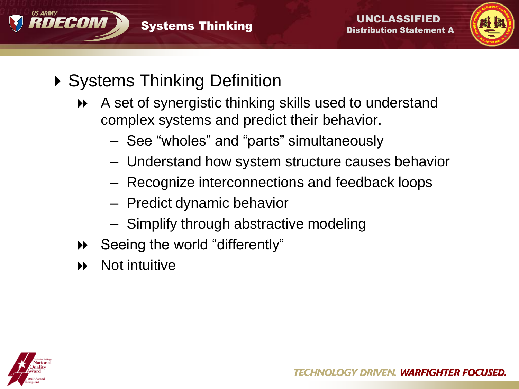



- ▶ Systems Thinking Definition
	- A set of synergistic thinking skills used to understand complex systems and predict their behavior.
		- See "wholes" and "parts" simultaneously
		- Understand how system structure causes behavior
		- Recognize interconnections and feedback loops
		- Predict dynamic behavior
		- Simplify through abstractive modeling
	- Seeing the world "differently"
	- Not intuitive

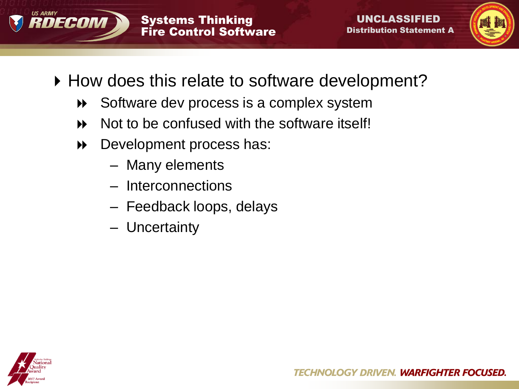



- ▶ How does this relate to software development?
	- **▶ Software dev process is a complex system**
	- Not to be confused with the software itself!
	- Development process has:
		- Many elements
		- Interconnections
		- Feedback loops, delays
		- Uncertainty

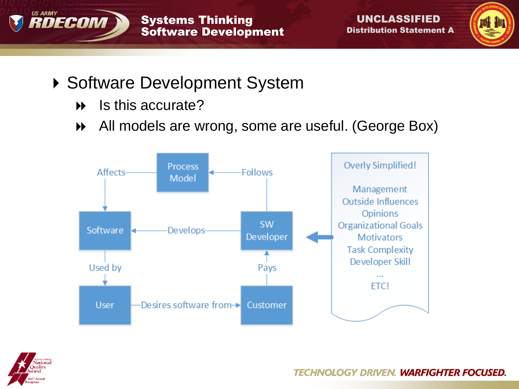



# ▶ Software Development System

- $\triangleright$  Is this accurate?
- All models are wrong, some are useful. (George Box)



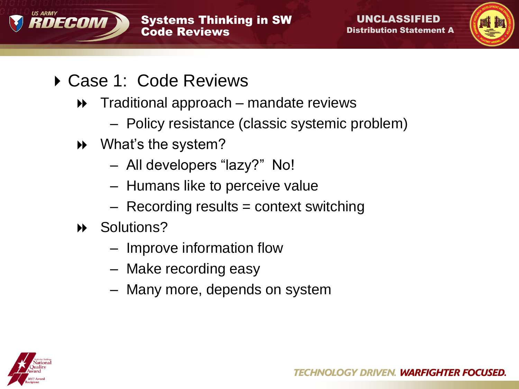



- ▶ Case 1: Code Reviews
	- ◆ Traditional approach mandate reviews
		- Policy resistance (classic systemic problem)
	- What's the system?
		- All developers "lazy?" No!
		- Humans like to perceive value
		- Recording results = context switching
	- Solutions?
		- Improve information flow
		- Make recording easy
		- Many more, depends on system

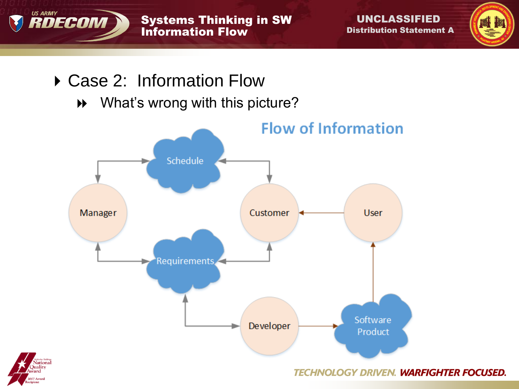

 UNCLASSIFIED Distribution Statement A



# ▶ Case 2: Information Flow

What's wrong with this picture?



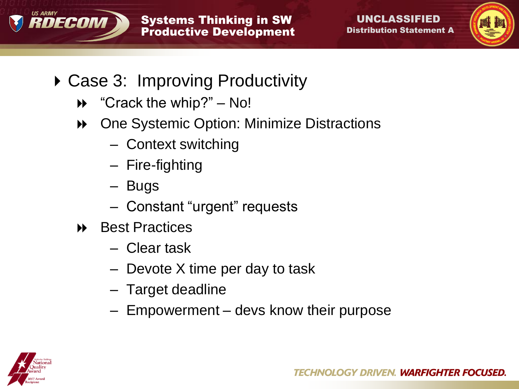



- ▶ Case 3: Improving Productivity
	- "Crack the whip?" No!
	- **▶ One Systemic Option: Minimize Distractions** 
		- Context switching
		- Fire-fighting
		- Bugs
		- Constant "urgent" requests
	- **▶ Best Practices** 
		- Clear task
		- Devote X time per day to task
		- Target deadline
		- Empowerment devs know their purpose

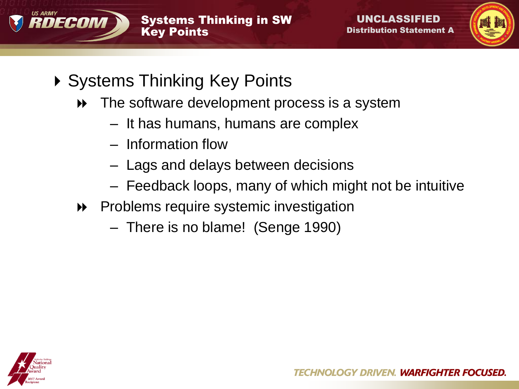



- ▶ Systems Thinking Key Points
	- $\rightarrow$  The software development process is a system
		- It has humans, humans are complex
		- Information flow
		- Lags and delays between decisions
		- Feedback loops, many of which might not be intuitive
	- Problems require systemic investigation
		- There is no blame! (Senge 1990)

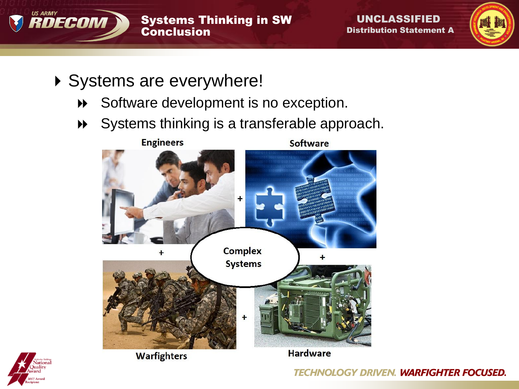



- ▶ Systems are everywhere!
	- Software development is no exception.
	- Systems thinking is a transferable approach.





**Hardware**